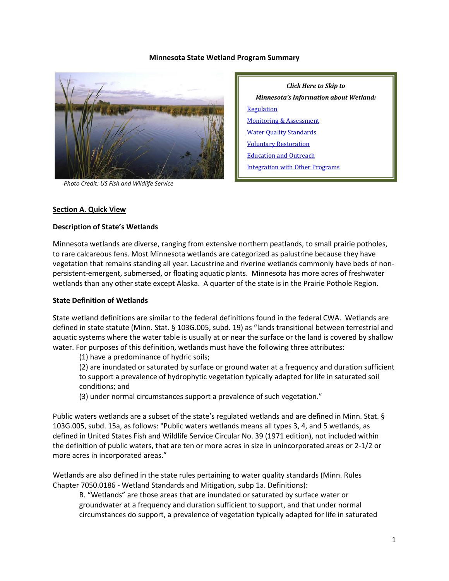#### **Minnesota State Wetland Program Summary**



 *Photo Credit: US Fish and Wildlife Service*

*Click Here to Skip to Minnesota's Information about Wetland:* **[Regulation](#page-3-0) [Monitoring & Assessment](#page-7-0)** [Water Quality Standards](#page-9-0) [Voluntary Restoration](#page-10-0) [Education and Outreach](#page-12-0) [Integration with Other Programs](#page-14-0)

#### **Section A. Quick View**

#### **Description of State's Wetlands**

Minnesota wetlands are diverse, ranging from extensive northern peatlands, to small prairie potholes, to rare calcareous fens. Most Minnesota wetlands are categorized as palustrine because they have vegetation that remains standing all year. Lacustrine and riverine wetlands commonly have beds of nonpersistent-emergent, submersed, or floating aquatic plants. Minnesota has more acres of freshwater wetlands than any other state except Alaska. A quarter of the state is in the Prairie Pothole Region.

#### **State Definition of Wetlands**

State wetland definitions are similar to the federal definitions found in the federal CWA. Wetlands are defined in state statute (Minn. Stat. § 103G.005, subd. 19) as "lands transitional between terrestrial and aquatic systems where the water table is usually at or near the surface or the land is covered by shallow water. For purposes of this definition, wetlands must have the following three attributes:

(1) have a predominance of hydric soils;

(2) are inundated or saturated by surface or ground water at a frequency and duration sufficient to support a prevalence of hydrophytic vegetation typically adapted for life in saturated soil conditions; and

(3) under normal circumstances support a prevalence of such vegetation."

Public waters wetlands are a subset of the state's regulated wetlands and are defined in Minn. Stat. § 103G.005, subd. 15a, as follows: "Public waters wetlands means all types 3, 4, and 5 wetlands, as defined in United States Fish and Wildlife Service Circular No. 39 (1971 edition), not included within the definition of public waters, that are ten or more acres in size in unincorporated areas or 2-1/2 or more acres in incorporated areas."

Wetlands are also defined in the state rules pertaining to water quality standards (Minn. Rules Chapter 7050.0186 - Wetland Standards and Mitigation, subp 1a. Definitions):

B. "Wetlands" are those areas that are inundated or saturated by surface water or groundwater at a frequency and duration sufficient to support, and that under normal circumstances do support, a prevalence of vegetation typically adapted for life in saturated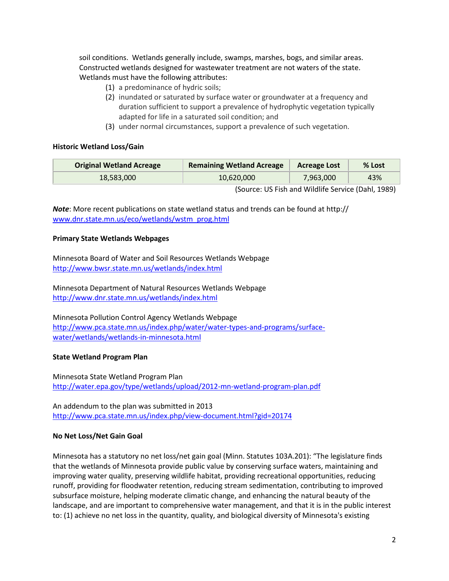soil conditions. Wetlands generally include, swamps, marshes, bogs, and similar areas. Constructed wetlands designed for wastewater treatment are not waters of the state. Wetlands must have the following attributes:

- (1) a predominance of hydric soils;
- (2) inundated or saturated by surface water or groundwater at a frequency and duration sufficient to support a prevalence of hydrophytic vegetation typically adapted for life in a saturated soil condition; and
- (3) under normal circumstances, support a prevalence of such vegetation.

#### **Historic Wetland Loss/Gain**

| <b>Original Wetland Acreage</b> | <b>Remaining Wetland Acreage</b> | <b>Acreage Lost</b> | $%$ Lost |
|---------------------------------|----------------------------------|---------------------|----------|
| 18.583.000                      | 10,620,000                       | 7,963,000           | 43%      |
|                                 | $\overline{\phantom{a}}$         |                     |          |

(Source: US Fish and Wildlife Service (Dahl, 1989)

*Note*: More recent publications on state wetland status and trends can be found at http:// [www.dnr.state.mn.us/eco/wetlands/wstm\\_prog.html](http://www.dnr.state.mn.us/eco/wetlands/wstm_prog.html)

## **Primary State Wetlands Webpages**

Minnesota Board of Water and Soil Resources Wetlands Webpage <http://www.bwsr.state.mn.us/wetlands/index.html>

Minnesota Department of Natural Resources Wetlands Webpage <http://www.dnr.state.mn.us/wetlands/index.html>

Minnesota Pollution Control Agency Wetlands Webpage http://www.pca.state.mn.us/index.php/water/water-types-and-programs/surfacewater/wetlands/wetlands-in-minnesota.html

## **State Wetland Program Plan**

Minnesota State Wetland Program Plan <http://water.epa.gov/type/wetlands/upload/2012-mn-wetland-program-plan.pdf>

An addendum to the plan was submitted in 2013 <http://www.pca.state.mn.us/index.php/view-document.html?gid=20174>

## **No Net Loss/Net Gain Goal**

Minnesota has a statutory no net loss/net gain goal (Minn. Statutes 103A.201): "The legislature finds that the wetlands of Minnesota provide public value by conserving surface waters, maintaining and improving water quality, preserving wildlife habitat, providing recreational opportunities, reducing runoff, providing for floodwater retention, reducing stream sedimentation, contributing to improved subsurface moisture, helping moderate climatic change, and enhancing the natural beauty of the landscape, and are important to comprehensive water management, and that it is in the public interest to: (1) achieve no net loss in the quantity, quality, and biological diversity of Minnesota's existing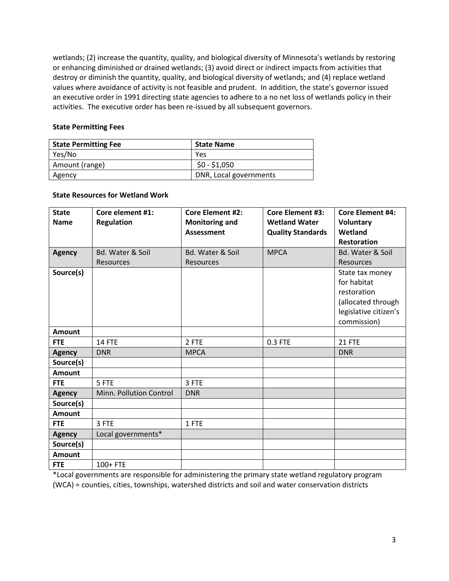wetlands; (2) increase the quantity, quality, and biological diversity of Minnesota's wetlands by restoring or enhancing diminished or drained wetlands; (3) avoid direct or indirect impacts from activities that destroy or diminish the quantity, quality, and biological diversity of wetlands; and (4) replace wetland values where avoidance of activity is not feasible and prudent. In addition, the state's governor issued an executive order in 1991 directing state agencies to adhere to a no net loss of wetlands policy in their activities. The executive order has been re-issued by all subsequent governors.

### **State Permitting Fees**

| <b>State Permitting Fee</b> | <b>State Name</b>      |
|-----------------------------|------------------------|
| Yes/No                      | Yes                    |
| Amount (range)              | $$0 - $1,050$          |
| Agency                      | DNR, Local governments |

#### **State Resources for Wetland Work**

| <b>State</b>  | Core element #1:            | <b>Core Element #2:</b> | <b>Core Element #3:</b>  | <b>Core Element #4:</b>     |
|---------------|-----------------------------|-------------------------|--------------------------|-----------------------------|
| <b>Name</b>   | <b>Regulation</b>           | <b>Monitoring and</b>   | <b>Wetland Water</b>     | <b>Voluntary</b>            |
|               |                             | <b>Assessment</b>       | <b>Quality Standards</b> | Wetland                     |
|               |                             |                         |                          | <b>Restoration</b>          |
|               | <b>Bd. Water &amp; Soil</b> | Bd. Water & Soil        | <b>MPCA</b>              | <b>Bd. Water &amp; Soil</b> |
| <b>Agency</b> |                             |                         |                          |                             |
|               | <b>Resources</b>            | <b>Resources</b>        |                          | <b>Resources</b>            |
| Source(s)     |                             |                         |                          | State tax money             |
|               |                             |                         |                          | for habitat                 |
|               |                             |                         |                          | restoration                 |
|               |                             |                         |                          | (allocated through          |
|               |                             |                         |                          | legislative citizen's       |
|               |                             |                         |                          | commission)                 |
| <b>Amount</b> |                             |                         |                          |                             |
| <b>FTE</b>    | <b>14 FTE</b>               | 2 FTE                   | 0.3 FTE                  | 21 FTE                      |
| <b>Agency</b> | <b>DNR</b>                  | <b>MPCA</b>             |                          | <b>DNR</b>                  |
| Source(s)     |                             |                         |                          |                             |
| <b>Amount</b> |                             |                         |                          |                             |
| <b>FTE</b>    | 5 FTE                       | 3 FTE                   |                          |                             |
| <b>Agency</b> | Minn. Pollution Control     | <b>DNR</b>              |                          |                             |
| Source(s)     |                             |                         |                          |                             |
| <b>Amount</b> |                             |                         |                          |                             |
| <b>FTE</b>    | 3 FTE                       | 1 FTE                   |                          |                             |
| <b>Agency</b> | Local governments*          |                         |                          |                             |
| Source(s)     |                             |                         |                          |                             |
| <b>Amount</b> |                             |                         |                          |                             |
| <b>FTE</b>    | 100+ FTE                    |                         |                          |                             |

\*Local governments are responsible for administering the primary state wetland regulatory program (WCA) = counties, cities, townships, watershed districts and soil and water conservation districts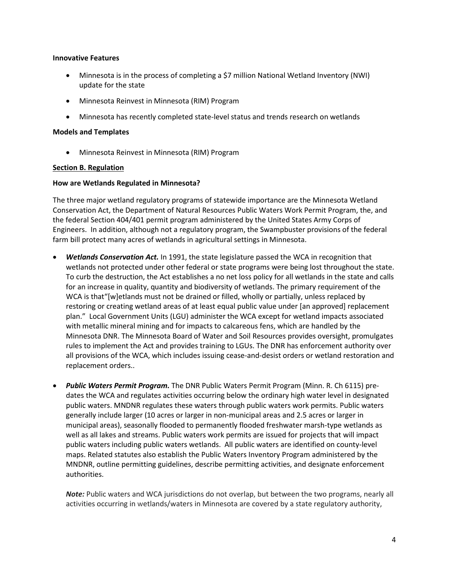#### **Innovative Features**

- Minnesota is in the process of completing a \$7 million National Wetland Inventory (NWI) update for the state
- Minnesota Reinvest in Minnesota (RIM) Program
- Minnesota has recently completed state-level status and trends research on wetlands

## **Models and Templates**

<span id="page-3-0"></span>• Minnesota Reinvest in Minnesota (RIM) Program

## **Section B. Regulation**

## **How are Wetlands Regulated in Minnesota?**

The three major wetland regulatory programs of statewide importance are the Minnesota Wetland Conservation Act, the Department of Natural Resources Public Waters Work Permit Program, the, and the federal Section 404/401 permit program administered by the United States Army Corps of Engineers. In addition, although not a regulatory program, the Swampbuster provisions of the federal farm bill protect many acres of wetlands in agricultural settings in Minnesota.

- *Wetlands Conservation Act.* In 1991, the state legislature passed the WCA in recognition that wetlands not protected under other federal or state programs were being lost throughout the state. To curb the destruction, the Act establishes a no net loss policy for all wetlands in the state and calls for an increase in quality, quantity and biodiversity of wetlands. The primary requirement of the WCA is that"[w]etlands must not be drained or filled, wholly or partially, unless replaced by restoring or creating wetland areas of at least equal public value under [an approved] replacement plan." Local Government Units (LGU) administer the WCA except for wetland impacts associated with metallic mineral mining and for impacts to calcareous fens, which are handled by the Minnesota DNR. The Minnesota Board of Water and Soil Resources provides oversight, promulgates rules to implement the Act and provides training to LGUs. The DNR has enforcement authority over all provisions of the WCA, which includes issuing cease-and-desist orders or wetland restoration and replacement orders..
- *Public Waters Permit Program.* The DNR Public Waters Permit Program (Minn. R. Ch 6115) predates the WCA and regulates activities occurring below the ordinary high water level in designated public waters. MNDNR regulates these waters through public waters work permits. Public waters generally include larger (10 acres or larger in non-municipal areas and 2.5 acres or larger in municipal areas), seasonally flooded to permanently flooded freshwater marsh-type wetlands as well as all lakes and streams. Public waters work permits are issued for projects that will impact public waters including public waters wetlands. All public waters are identified on county-level maps. Related statutes also establish the Public Waters Inventory Program administered by the MNDNR, outline permitting guidelines, describe permitting activities, and designate enforcement authorities.

*Note:* Public waters and WCA jurisdictions do not overlap, but between the two programs, nearly all activities occurring in wetlands/waters in Minnesota are covered by a state regulatory authority,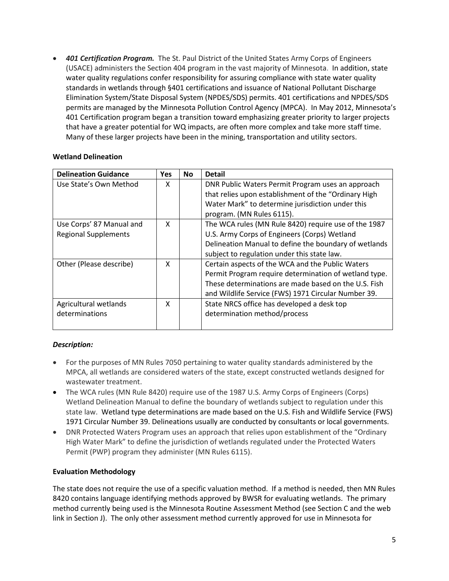• *401 Certification Program.* The St. Paul District of the United States Army Corps of Engineers (USACE) administers the Section 404 program in the vast majority of Minnesota. In addition, state water quality regulations confer responsibility for assuring compliance with state water quality standards in wetlands through §401 certifications and issuance of National Pollutant Discharge Elimination System/State Disposal System (NPDES/SDS) permits. 401 certifications and NPDES/SDS permits are managed by the Minnesota Pollution Control Agency (MPCA). In May 2012, Minnesota's 401 Certification program began a transition toward emphasizing greater priority to larger projects that have a greater potential for WQ impacts, are often more complex and take more staff time. Many of these larger projects have been in the mining, transportation and utility sectors.

# **Wetland Delineation**

| <b>Delineation Guidance</b> | <b>Yes</b> | <b>No</b> | <b>Detail</b>                                         |
|-----------------------------|------------|-----------|-------------------------------------------------------|
| Use State's Own Method      | x          |           | DNR Public Waters Permit Program uses an approach     |
|                             |            |           | that relies upon establishment of the "Ordinary High  |
|                             |            |           | Water Mark" to determine jurisdiction under this      |
|                             |            |           | program. (MN Rules 6115).                             |
| Use Corps' 87 Manual and    | X          |           | The WCA rules (MN Rule 8420) require use of the 1987  |
| <b>Regional Supplements</b> |            |           | U.S. Army Corps of Engineers (Corps) Wetland          |
|                             |            |           | Delineation Manual to define the boundary of wetlands |
|                             |            |           | subject to regulation under this state law.           |
| Other (Please describe)     | x          |           | Certain aspects of the WCA and the Public Waters      |
|                             |            |           | Permit Program require determination of wetland type. |
|                             |            |           | These determinations are made based on the U.S. Fish  |
|                             |            |           | and Wildlife Service (FWS) 1971 Circular Number 39.   |
| Agricultural wetlands       | X          |           | State NRCS office has developed a desk top            |
| determinations              |            |           | determination method/process                          |
|                             |            |           |                                                       |

# *Description:*

- For the purposes of MN Rules 7050 pertaining to water quality standards administered by the MPCA, all wetlands are considered waters of the state, except constructed wetlands designed for wastewater treatment.
- The WCA rules (MN Rule 8420) require use of the 1987 U.S. Army Corps of Engineers (Corps) Wetland Delineation Manual to define the boundary of wetlands subject to regulation under this state law. Wetland type determinations are made based on the U.S. Fish and Wildlife Service (FWS) 1971 Circular Number 39. Delineations usually are conducted by consultants or local governments.
- DNR Protected Waters Program uses an approach that relies upon establishment of the "Ordinary High Water Mark" to define the jurisdiction of wetlands regulated under the Protected Waters Permit (PWP) program they administer (MN Rules 6115).

# **Evaluation Methodology**

The state does not require the use of a specific valuation method. If a method is needed, then MN Rules 8420 contains language identifying methods approved by BWSR for evaluating wetlands. The primary method currently being used is the Minnesota Routine Assessment Method (see Section C and the web link in Section J). The only other assessment method currently approved for use in Minnesota for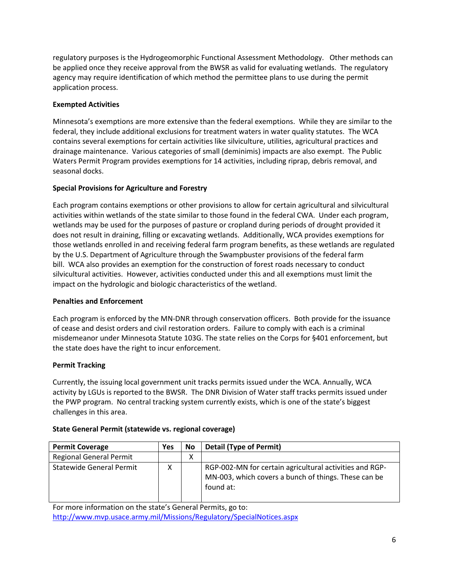regulatory purposes is the Hydrogeomorphic Functional Assessment Methodology. Other methods can be applied once they receive approval from the BWSR as valid for evaluating wetlands. The regulatory agency may require identification of which method the permittee plans to use during the permit application process.

# **Exempted Activities**

Minnesota's exemptions are more extensive than the federal exemptions. While they are similar to the federal, they include additional exclusions for treatment waters in water quality statutes. The WCA contains several exemptions for certain activities like silviculture, utilities, agricultural practices and drainage maintenance. Various categories of small (deminimis) impacts are also exempt. The Public Waters Permit Program provides exemptions for 14 activities, including riprap, debris removal, and seasonal docks.

# **Special Provisions for Agriculture and Forestry**

Each program contains exemptions or other provisions to allow for certain agricultural and silvicultural activities within wetlands of the state similar to those found in the federal CWA. Under each program, wetlands may be used for the purposes of pasture or cropland during periods of drought provided it does not result in draining, filling or excavating wetlands. Additionally, WCA provides exemptions for those wetlands enrolled in and receiving federal farm program benefits, as these wetlands are regulated by the U.S. Department of Agriculture through the Swampbuster provisions of the federal farm bill. WCA also provides an exemption for the construction of forest roads necessary to conduct silvicultural activities. However, activities conducted under this and all exemptions must limit the impact on the hydrologic and biologic characteristics of the wetland.

# **Penalties and Enforcement**

Each program is enforced by the MN-DNR through conservation officers. Both provide for the issuance of cease and desist orders and civil restoration orders. Failure to comply with each is a criminal misdemeanor under Minnesota Statute 103G. The state relies on the Corps for §401 enforcement, but the state does have the right to incur enforcement.

# **Permit Tracking**

Currently, the issuing local government unit tracks permits issued under the WCA. Annually, WCA activity by LGUs is reported to the BWSR. The DNR Division of Water staff tracks permits issued under the PWP program. No central tracking system currently exists, which is one of the state's biggest challenges in this area.

# **State General Permit (statewide vs. regional coverage)**

| <b>Permit Coverage</b>          | Yes | No | <b>Detail (Type of Permit)</b>                                                                                               |
|---------------------------------|-----|----|------------------------------------------------------------------------------------------------------------------------------|
| <b>Regional General Permit</b>  |     | Χ  |                                                                                                                              |
| <b>Statewide General Permit</b> | x   |    | RGP-002-MN for certain agricultural activities and RGP-<br>MN-003, which covers a bunch of things. These can be<br>found at: |

For more information on the state's General Permits, go to: <http://www.mvp.usace.army.mil/Missions/Regulatory/SpecialNotices.aspx>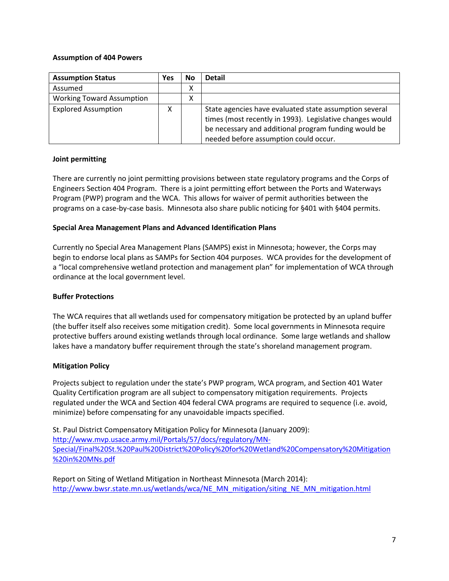## **Assumption of 404 Powers**

| <b>Assumption Status</b>         | Yes | No | <b>Detail</b>                                                                                                                                                                                                       |
|----------------------------------|-----|----|---------------------------------------------------------------------------------------------------------------------------------------------------------------------------------------------------------------------|
| Assumed                          |     | Χ  |                                                                                                                                                                                                                     |
| <b>Working Toward Assumption</b> |     | Χ  |                                                                                                                                                                                                                     |
| <b>Explored Assumption</b>       | x   |    | State agencies have evaluated state assumption several<br>times (most recently in 1993). Legislative changes would<br>be necessary and additional program funding would be<br>needed before assumption could occur. |

## **Joint permitting**

There are currently no joint permitting provisions between state regulatory programs and the Corps of Engineers Section 404 Program. There is a joint permitting effort between the Ports and Waterways Program (PWP) program and the WCA. This allows for waiver of permit authorities between the programs on a case-by-case basis. Minnesota also share public noticing for §401 with §404 permits.

## **Special Area Management Plans and Advanced Identification Plans**

Currently no Special Area Management Plans (SAMPS) exist in Minnesota; however, the Corps may begin to endorse local plans as SAMPs for Section 404 purposes. WCA provides for the development of a "local comprehensive wetland protection and management plan" for implementation of WCA through ordinance at the local government level.

## **Buffer Protections**

The WCA requires that all wetlands used for compensatory mitigation be protected by an upland buffer (the buffer itself also receives some mitigation credit). Some local governments in Minnesota require protective buffers around existing wetlands through local ordinance. Some large wetlands and shallow lakes have a mandatory buffer requirement through the state's shoreland management program.

## **Mitigation Policy**

Projects subject to regulation under the state's PWP program, WCA program, and Section 401 Water Quality Certification program are all subject to compensatory mitigation requirements. Projects regulated under the WCA and Section 404 federal CWA programs are required to sequence (i.e. avoid, minimize) before compensating for any unavoidable impacts specified.

St. Paul District Compensatory Mitigation Policy for Minnesota (January 2009): [http://www.mvp.usace.army.mil/Portals/57/docs/regulatory/MN-](http://www.mvp.usace.army.mil/Portals/57/docs/regulatory/MN-Special/Final%20St.%20Paul%20District%20Policy%20for%20Wetland%20Compensatory%20Mitigation%20in%20MNs.pdf)[Special/Final%20St.%20Paul%20District%20Policy%20for%20Wetland%20Compensatory%20Mitigation](http://www.mvp.usace.army.mil/Portals/57/docs/regulatory/MN-Special/Final%20St.%20Paul%20District%20Policy%20for%20Wetland%20Compensatory%20Mitigation%20in%20MNs.pdf) [%20in%20MNs.pdf](http://www.mvp.usace.army.mil/Portals/57/docs/regulatory/MN-Special/Final%20St.%20Paul%20District%20Policy%20for%20Wetland%20Compensatory%20Mitigation%20in%20MNs.pdf)

Report on Siting of Wetland Mitigation in Northeast Minnesota (March 2014): [http://www.bwsr.state.mn.us/wetlands/wca/NE\\_MN\\_mitigation/siting\\_NE\\_MN\\_mitigation.html](http://www.bwsr.state.mn.us/wetlands/wca/NE_MN_mitigation/siting_NE_MN_mitigation.html)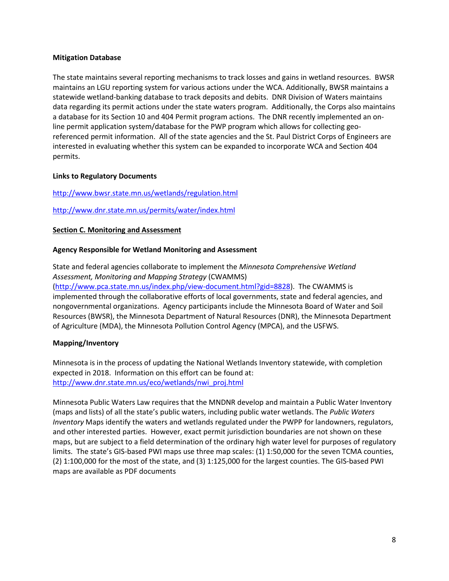### **Mitigation Database**

The state maintains several reporting mechanisms to track losses and gains in wetland resources. BWSR maintains an LGU reporting system for various actions under the WCA. Additionally, BWSR maintains a statewide wetland-banking database to track deposits and debits. DNR Division of Waters maintains data regarding its permit actions under the state waters program. Additionally, the Corps also maintains a database for its Section 10 and 404 Permit program actions. The DNR recently implemented an online permit application system/database for the PWP program which allows for collecting georeferenced permit information. All of the state agencies and the St. Paul District Corps of Engineers are interested in evaluating whether this system can be expanded to incorporate WCA and Section 404 permits.

## **Links to Regulatory Documents**

## <http://www.bwsr.state.mn.us/wetlands/regulation.html>

#### <span id="page-7-0"></span><http://www.dnr.state.mn.us/permits/water/index.html>

#### **Section C. Monitoring and Assessment**

#### **Agency Responsible for Wetland Monitoring and Assessment**

State and federal agencies collaborate to implement the *Minnesota Comprehensive Wetland Assessment, Monitoring and Mapping Strategy* (CWAMMS) [\(http://www.pca.state.mn.us/index.php/view-document.html?gid=8828\)](http://www.pca.state.mn.us/index.php/view-document.html?gid=8828). The CWAMMS is implemented through the collaborative efforts of local governments, state and federal agencies, and nongovernmental organizations. Agency participants include the Minnesota Board of Water and Soil Resources (BWSR), the Minnesota Department of Natural Resources (DNR), the Minnesota Department of Agriculture (MDA), the Minnesota Pollution Control Agency (MPCA), and the USFWS.

## **Mapping/Inventory**

Minnesota is in the process of updating the National Wetlands Inventory statewide, with completion expected in 2018. Information on this effort can be found at: [http://www.dnr.state.mn.us/eco/wetlands/nwi\\_proj.html](http://www.dnr.state.mn.us/eco/wetlands/nwi_proj.html)

Minnesota Public Waters Law requires that the MNDNR develop and maintain a Public Water Inventory (maps and lists) of all the state's public waters, including public water wetlands. The *Public Waters Inventory* Maps identify the waters and wetlands regulated under the PWPP for landowners, regulators, and other interested parties. However, exact permit jurisdiction boundaries are not shown on these maps, but are subject to a field determination of the ordinary high water level for purposes of regulatory limits. The state's GIS-based PWI maps use three map scales: (1) 1:50,000 for the seven TCMA counties, (2) 1:100,000 for the most of the state, and (3) 1:125,000 for the largest counties. The GIS-based PWI maps are available as PDF documents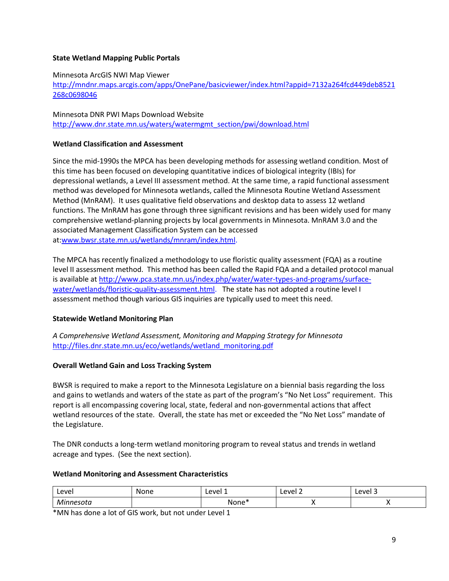## **State Wetland Mapping Public Portals**

### Minnesota ArcGIS NWI Map Viewer

[http://mndnr.maps.arcgis.com/apps/OnePane/basicviewer/index.html?appid=7132a264fcd449deb8521](http://mndnr.maps.arcgis.com/apps/OnePane/basicviewer/index.html?appid=7132a264fcd449deb8521268c0698046) [268c0698046](http://mndnr.maps.arcgis.com/apps/OnePane/basicviewer/index.html?appid=7132a264fcd449deb8521268c0698046)

Minnesota DNR PWI Maps Download Website [http://www.dnr.state.mn.us/waters/watermgmt\\_section/pwi/download.html](http://www.dnr.state.mn.us/waters/watermgmt_section/pwi/download.html)

## **Wetland Classification and Assessment**

Since the mid-1990s the MPCA has been developing methods for assessing wetland condition. Most of this time has been focused on developing quantitative indices of biological integrity (IBIs) for depressional wetlands, a Level III assessment method. At the same time, a rapid functional assessment method was developed for Minnesota wetlands, called the Minnesota Routine Wetland Assessment Method (MnRAM). It uses qualitative field observations and desktop data to assess 12 wetland functions. The MnRAM has gone through three significant revisions and has been widely used for many comprehensive wetland-planning projects by local governments in Minnesota. MnRAM 3.0 and the associated Management Classification System can be accessed at[:www.bwsr.state.mn.us/wetlands/mnram/index.html.](http://www.bwsr.state.mn.us/wetlands/mnram/index.html)

The MPCA has recently finalized a methodology to use floristic quality assessment (FQA) as a routine level II assessment method. This method has been called the Rapid FQA and a detailed protocol manual is available at [http://www.pca.state.mn.us/index.php/water/water-types-and-programs/surface](http://www.pca.state.mn.us/index.php/water/water-types-and-programs/surface-water/wetlands/floristic-quality-assessment.html)[water/wetlands/floristic-quality-assessment.html.](http://www.pca.state.mn.us/index.php/water/water-types-and-programs/surface-water/wetlands/floristic-quality-assessment.html) The state has not adopted a routine level I assessment method though various GIS inquiries are typically used to meet this need.

## **Statewide Wetland Monitoring Plan**

*A Comprehensive Wetland Assessment, Monitoring and Mapping Strategy for Minnesota* [http://files.dnr.state.mn.us/eco/wetlands/wetland\\_monitoring.pdf](http://files.dnr.state.mn.us/eco/wetlands/wetland_monitoring.pdf)

## **Overall Wetland Gain and Loss Tracking System**

BWSR is required to make a report to the Minnesota Legislature on a biennial basis regarding the loss and gains to wetlands and waters of the state as part of the program's "No Net Loss" requirement. This report is all encompassing covering local, state, federal and non-governmental actions that affect wetland resources of the state. Overall, the state has met or exceeded the "No Net Loss" mandate of the Legislature.

The DNR conducts a long-term wetland monitoring program to reveal status and trends in wetland acreage and types. (See the next section).

## **Wetland Monitoring and Assessment Characteristics**

| Level           | None | Level 1   | Level 2 | Level 3 |
|-----------------|------|-----------|---------|---------|
| Minnesota<br>ou |      | ∗ەnn<br>N |         |         |

\*MN has done a lot of GIS work, but not under Level 1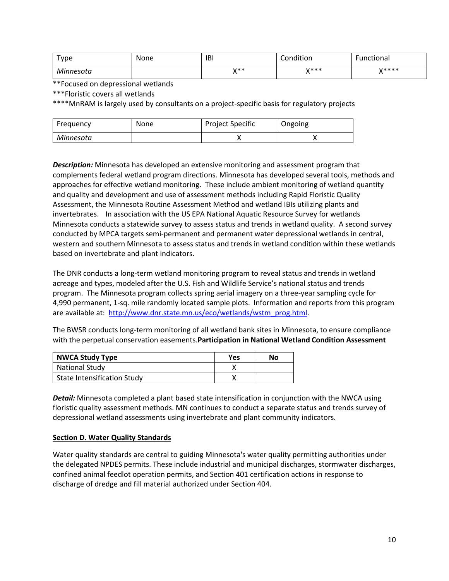| туре      | None | <b>IBI</b>  | Condition          | . .<br>Functional |
|-----------|------|-------------|--------------------|-------------------|
| Minnesota |      | $V**$<br>,, | $V$ ***<br>$\cdot$ | $V$ ****          |

\*\*Focused on depressional wetlands

\*\*\*Floristic covers all wetlands

\*\*\*\*MnRAM is largely used by consultants on a project-specific basis for regulatory projects

| Freguency | None | <b>Project Specific</b> | Ongoing |
|-----------|------|-------------------------|---------|
| Minnesota |      |                         |         |

*Description:* Minnesota has developed an extensive monitoring and assessment program that complements federal wetland program directions. Minnesota has developed several tools, methods and approaches for effective wetland monitoring. These include ambient monitoring of wetland quantity and quality and development and use of assessment methods including Rapid Floristic Quality Assessment, the Minnesota Routine Assessment Method and wetland IBIs utilizing plants and invertebrates. In association with the US EPA National Aquatic Resource Survey for wetlands Minnesota conducts a statewide survey to assess status and trends in wetland quality. A second survey conducted by MPCA targets semi-permanent and permanent water depressional wetlands in central, western and southern Minnesota to assess status and trends in wetland condition within these wetlands based on invertebrate and plant indicators.

The DNR conducts a long-term wetland monitoring program to reveal status and trends in wetland acreage and types, modeled after the U.S. Fish and Wildlife Service's national status and trends program. The Minnesota program collects spring aerial imagery on a three-year sampling cycle for 4,990 permanent, 1-sq. mile randomly located sample plots. Information and reports from this program are available at: [http://www.dnr.state.mn.us/eco/wetlands/wstm\\_prog.html.](http://www.dnr.state.mn.us/eco/wetlands/wstm_prog.html)

The BWSR conducts long-term monitoring of all wetland bank sites in Minnesota, to ensure compliance with the perpetual conservation easements.**Participation in National Wetland Condition Assessment**

| <b>NWCA Study Type</b>             | Yes | No |
|------------------------------------|-----|----|
| <b>National Study</b>              |     |    |
| <b>State Intensification Study</b> |     |    |

*Detail:* Minnesota completed a plant based state intensification in conjunction with the NWCA using floristic quality assessment methods. MN continues to conduct a separate status and trends survey of depressional wetland assessments using invertebrate and plant community indicators.

## <span id="page-9-0"></span>**Section D. Water Quality Standards**

Water quality standards are central to guiding Minnesota's water quality permitting authorities under the delegated NPDES permits. These include industrial and municipal discharges, stormwater discharges, confined animal feedlot operation permits, and Section 401 certification actions in response to discharge of dredge and fill material authorized under Section 404.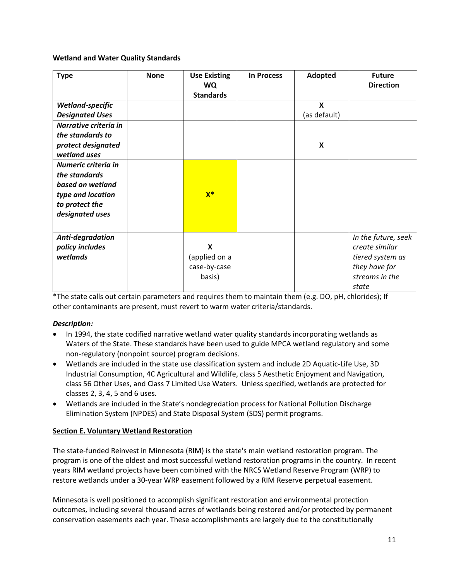**Wetland and Water Quality Standards**

| <b>Type</b>                                                                                     | <b>None</b> | <b>Use Existing</b><br><b>WQ</b><br><b>Standards</b> | <b>In Process</b> | Adopted                   | <b>Future</b><br><b>Direction</b>                                                                     |
|-------------------------------------------------------------------------------------------------|-------------|------------------------------------------------------|-------------------|---------------------------|-------------------------------------------------------------------------------------------------------|
| <b>Wetland-specific</b><br><b>Designated Uses</b>                                               |             |                                                      |                   | X<br>(as default)         |                                                                                                       |
| Narrative criteria in<br>the standards to                                                       |             |                                                      |                   |                           |                                                                                                       |
| protect designated<br>wetland uses                                                              |             |                                                      |                   | $\boldsymbol{\mathsf{x}}$ |                                                                                                       |
| Numeric criteria in<br>the standards<br>based on wetland<br>type and location<br>to protect the |             | $X^*$                                                |                   |                           |                                                                                                       |
| designated uses                                                                                 |             |                                                      |                   |                           |                                                                                                       |
| Anti-degradation<br>policy includes<br>wetlands                                                 |             | X<br>(applied on a<br>case-by-case<br>basis)         |                   |                           | In the future, seek<br>create similar<br>tiered system as<br>they have for<br>streams in the<br>state |

\*The state calls out certain parameters and requires them to maintain them (e.g. DO, pH, chlorides); If other contaminants are present, must revert to warm water criteria/standards.

# *Description:*

- In 1994, the state codified narrative wetland water quality standards incorporating wetlands as Waters of the State. These standards have been used to guide MPCA wetland regulatory and some non-regulatory (nonpoint source) program decisions.
- Wetlands are included in the state use classification system and include 2D Aquatic-Life Use, 3D Industrial Consumption, 4C Agricultural and Wildlife, class 5 Aesthetic Enjoyment and Navigation, class 56 Other Uses, and Class 7 Limited Use Waters. Unless specified, wetlands are protected for classes 2, 3, 4, 5 and 6 uses.
- Wetlands are included in the State's nondegredation process for National Pollution Discharge Elimination System (NPDES) and State Disposal System (SDS) permit programs.

# <span id="page-10-0"></span>**Section E. Voluntary Wetland Restoration**

The state-funded Reinvest in Minnesota (RIM) is the state's main wetland restoration program. The program is one of the oldest and most successful wetland restoration programs in the country. In recent years RIM wetland projects have been combined with the NRCS Wetland Reserve Program (WRP) to restore wetlands under a 30-year WRP easement followed by a RIM Reserve perpetual easement.

Minnesota is well positioned to accomplish significant restoration and environmental protection outcomes, including several thousand acres of wetlands being restored and/or protected by permanent conservation easements each year. These accomplishments are largely due to the constitutionally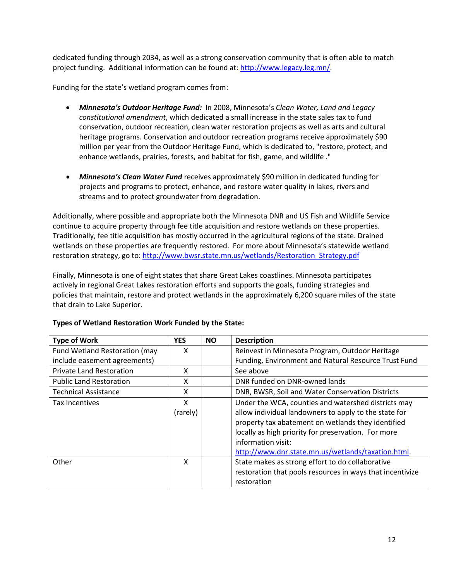dedicated funding through 2034, as well as a strong conservation community that is often able to match project funding. Additional information can be found at: [http://www.legacy.leg.mn/.](http://www.legacy.leg.mn/)

Funding for the state's wetland program comes from:

- *Minnesota's Outdoor Heritage Fund:* In 2008, Minnesota's *Clean Water, Land and Legacy constitutional amendment*, which dedicated a small increase in the state sales tax to fund conservation, outdoor recreation, clean water restoration projects as well as arts and cultural heritage programs. Conservation and outdoor recreation programs receive approximately \$90 million per year from the Outdoor Heritage Fund, which is dedicated to, "restore, protect, and enhance wetlands, prairies, forests, and habitat for fish, game, and wildlife ."
- *Minnesota's Clean Water Fund* receives approximately \$90 million in dedicated funding for projects and programs to protect, enhance, and restore water quality in lakes, rivers and streams and to protect groundwater from degradation.

Additionally, where possible and appropriate both the Minnesota DNR and US Fish and Wildlife Service continue to acquire property through fee title acquisition and restore wetlands on these properties. Traditionally, fee title acquisition has mostly occurred in the agricultural regions of the state. Drained wetlands on these properties are frequently restored. For more about Minnesota's statewide wetland restoration strategy, go to[: http://www.bwsr.state.mn.us/wetlands/Restoration\\_Strategy.pdf](http://www.bwsr.state.mn.us/wetlands/Restoration_Strategy.pdf)

Finally, Minnesota is one of eight states that share Great Lakes coastlines. Minnesota participates actively in regional Great Lakes restoration efforts and supports the goals, funding strategies and policies that maintain, restore and protect wetlands in the approximately 6,200 square miles of the state that drain to Lake Superior.

| <b>Type of Work</b>             | <b>YES</b>    | <b>NO</b> | <b>Description</b>                                                                                                                                                                                                        |
|---------------------------------|---------------|-----------|---------------------------------------------------------------------------------------------------------------------------------------------------------------------------------------------------------------------------|
| Fund Wetland Restoration (may   | x             |           | Reinvest in Minnesota Program, Outdoor Heritage                                                                                                                                                                           |
| include easement agreements)    |               |           | Funding, Environment and Natural Resource Trust Fund                                                                                                                                                                      |
| <b>Private Land Restoration</b> | X             |           | See above                                                                                                                                                                                                                 |
| <b>Public Land Restoration</b>  | X             |           | DNR funded on DNR-owned lands                                                                                                                                                                                             |
| <b>Technical Assistance</b>     | X             |           | DNR, BWSR, Soil and Water Conservation Districts                                                                                                                                                                          |
| Tax Incentives                  | x<br>(rarely) |           | Under the WCA, counties and watershed districts may<br>allow individual landowners to apply to the state for<br>property tax abatement on wetlands they identified<br>locally as high priority for preservation. For more |
| Other                           | X             |           | information visit:<br>http://www.dnr.state.mn.us/wetlands/taxation.html.<br>State makes as strong effort to do collaborative<br>restoration that pools resources in ways that incentivize<br>restoration                  |

# **Types of Wetland Restoration Work Funded by the State:**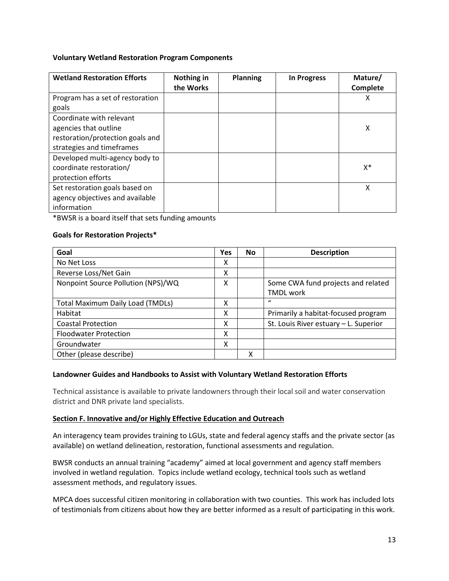## **Voluntary Wetland Restoration Program Components**

| <b>Wetland Restoration Efforts</b> | Nothing in<br>the Works | <b>Planning</b> | <b>In Progress</b> | Mature/<br>Complete |
|------------------------------------|-------------------------|-----------------|--------------------|---------------------|
| Program has a set of restoration   |                         |                 |                    | Χ                   |
| goals                              |                         |                 |                    |                     |
| Coordinate with relevant           |                         |                 |                    |                     |
| agencies that outline              |                         |                 |                    | X                   |
| restoration/protection goals and   |                         |                 |                    |                     |
| strategies and timeframes          |                         |                 |                    |                     |
| Developed multi-agency body to     |                         |                 |                    |                     |
| coordinate restoration/            |                         |                 |                    | X*                  |
| protection efforts                 |                         |                 |                    |                     |
| Set restoration goals based on     |                         |                 |                    | X                   |
| agency objectives and available    |                         |                 |                    |                     |
| information                        |                         |                 |                    |                     |

\*BWSR is a board itself that sets funding amounts

## **Goals for Restoration Projects\***

| Goal                                    | <b>Yes</b> | <b>No</b> | <b>Description</b>                    |
|-----------------------------------------|------------|-----------|---------------------------------------|
| No Net Loss                             | χ          |           |                                       |
| Reverse Loss/Net Gain                   | χ          |           |                                       |
| Nonpoint Source Pollution (NPS)/WQ      | X          |           | Some CWA fund projects and related    |
|                                         |            |           | <b>TMDL</b> work                      |
| <b>Total Maximum Daily Load (TMDLs)</b> | χ          |           | $\mathbf{u}$                          |
| Habitat                                 | χ          |           | Primarily a habitat-focused program   |
| <b>Coastal Protection</b>               | χ          |           | St. Louis River estuary - L. Superior |
| <b>Floodwater Protection</b>            | Χ          |           |                                       |
| Groundwater                             | χ          |           |                                       |
| Other (please describe)                 |            | x         |                                       |

## **Landowner Guides and Handbooks to Assist with Voluntary Wetland Restoration Efforts**

Technical assistance is available to private landowners through their local soil and water conservation district and DNR private land specialists.

## <span id="page-12-0"></span>**Section F. Innovative and/or Highly Effective Education and Outreach**

An interagency team provides training to LGUs, state and federal agency staffs and the private sector (as available) on wetland delineation, restoration, functional assessments and regulation.

BWSR conducts an annual training "academy" aimed at local government and agency staff members involved in wetland regulation. Topics include wetland ecology, technical tools such as wetland assessment methods, and regulatory issues.

MPCA does successful citizen monitoring in collaboration with two counties. This work has included lots of testimonials from citizens about how they are better informed as a result of participating in this work.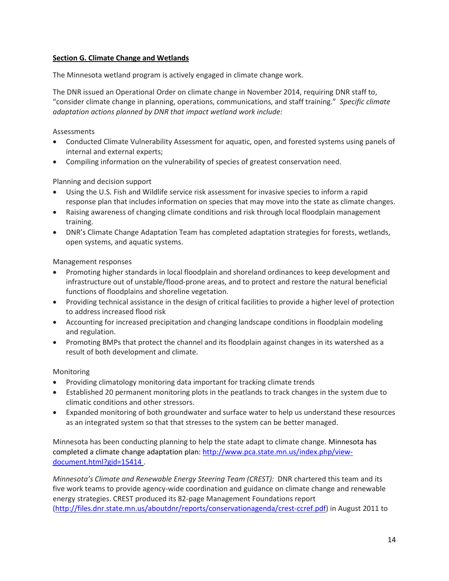# **Section G. Climate Change and Wetlands**

The Minnesota wetland program is actively engaged in climate change work.

The DNR issued an Operational Order on climate change in November 2014, requiring DNR staff to, "consider climate change in planning, operations, communications, and staff training." *Specific climate adaptation actions planned by DNR that impact wetland work include:* 

Assessments

- Conducted Climate Vulnerability Assessment for aquatic, open, and forested systems using panels of internal and external experts;
- Compiling information on the vulnerability of species of greatest conservation need.

Planning and decision support

- Using the U.S. Fish and Wildlife service risk assessment for invasive species to inform a rapid response plan that includes information on species that may move into the state as climate changes.
- Raising awareness of changing climate conditions and risk through local floodplain management training.
- DNR's Climate Change Adaptation Team has completed adaptation strategies for forests, wetlands, open systems, and aquatic systems.

Management responses

- Promoting higher standards in local floodplain and shoreland ordinances to keep development and infrastructure out of unstable/flood-prone areas, and to protect and restore the natural beneficial functions of floodplains and shoreline vegetation.
- Providing technical assistance in the design of critical facilities to provide a higher level of protection to address increased flood risk
- Accounting for increased precipitation and changing landscape conditions in floodplain modeling and regulation.
- Promoting BMPs that protect the channel and its floodplain against changes in its watershed as a result of both development and climate.

Monitoring

- Providing climatology monitoring data important for tracking climate trends
- Established 20 permanent monitoring plots in the peatlands to track changes in the system due to climatic conditions and other stressors.
- Expanded monitoring of both groundwater and surface water to help us understand these resources as an integrated system so that that stresses to the system can be better managed.

Minnesota has been conducting planning to help the state adapt to climate change. Minnesota has completed a climate change adaptation plan: [http://www.pca.state.mn.us/index.php/view](http://www.pca.state.mn.us/index.php/view-document.html?gid=15414)[document.html?gid=15414](http://www.pca.state.mn.us/index.php/view-document.html?gid=15414) .

*Minnesota's Climate and Renewable Energy Steering Team (CREST):* DNR chartered this team and its five work teams to provide agency-wide coordination and guidance on climate change and renewable energy strategies. CREST produced its 82-page Management Foundations report [\(http://files.dnr.state.mn.us/aboutdnr/reports/conservationagenda/crest-ccref.pdf\)](http://files.dnr.state.mn.us/aboutdnr/reports/conservationagenda/crest-ccref.pdf) in August 2011 to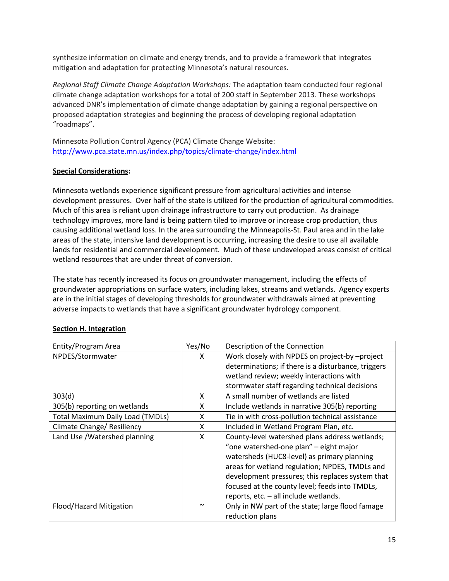synthesize information on climate and energy trends, and to provide a framework that integrates mitigation and adaptation for protecting Minnesota's natural resources.

*Regional Staff Climate Change Adaptation Workshops:* The adaptation team conducted four regional climate change adaptation workshops for a total of 200 staff in September 2013. These workshops advanced DNR's implementation of climate change adaptation by gaining a regional perspective on proposed adaptation strategies and beginning the process of developing regional adaptation "roadmaps".

Minnesota Pollution Control Agency (PCA) Climate Change Website: <http://www.pca.state.mn.us/index.php/topics/climate-change/index.html>

# **Special Considerations:**

Minnesota wetlands experience significant pressure from agricultural activities and intense development pressures. Over half of the state is utilized for the production of agricultural commodities. Much of this area is reliant upon drainage infrastructure to carry out production. As drainage technology improves, more land is being pattern tiled to improve or increase crop production, thus causing additional wetland loss. In the area surrounding the Minneapolis-St. Paul area and in the lake areas of the state, intensive land development is occurring, increasing the desire to use all available lands for residential and commercial development. Much of these undeveloped areas consist of critical wetland resources that are under threat of conversion.

The state has recently increased its focus on groundwater management, including the effects of groundwater appropriations on surface waters, including lakes, streams and wetlands. Agency experts are in the initial stages of developing thresholds for groundwater withdrawals aimed at preventing adverse impacts to wetlands that have a significant groundwater hydrology component.

| Entity/Program Area                     | Yes/No | Description of the Connection                       |
|-----------------------------------------|--------|-----------------------------------------------------|
| NPDES/Stormwater                        | X      | Work closely with NPDES on project-by -project      |
|                                         |        | determinations; if there is a disturbance, triggers |
|                                         |        | wetland review; weekly interactions with            |
|                                         |        | stormwater staff regarding technical decisions      |
| 303(d)                                  | X      | A small number of wetlands are listed               |
| 305(b) reporting on wetlands            | X      | Include wetlands in narrative 305(b) reporting      |
| <b>Total Maximum Daily Load (TMDLs)</b> | X      | Tie in with cross-pollution technical assistance    |
| Climate Change/ Resiliency              | X      | Included in Wetland Program Plan, etc.              |
| Land Use / Watershed planning           | X      | County-level watershed plans address wetlands;      |
|                                         |        | "one watershed-one plan" - eight major              |
|                                         |        | watersheds (HUC8-level) as primary planning         |
|                                         |        | areas for wetland regulation; NPDES, TMDLs and      |
|                                         |        | development pressures; this replaces system that    |
|                                         |        | focused at the county level; feeds into TMDLs,      |
|                                         |        | reports, etc. - all include wetlands.               |
| Flood/Hazard Mitigation                 | $\sim$ | Only in NW part of the state; large flood famage    |
|                                         |        | reduction plans                                     |

# <span id="page-14-0"></span>**Section H. Integration**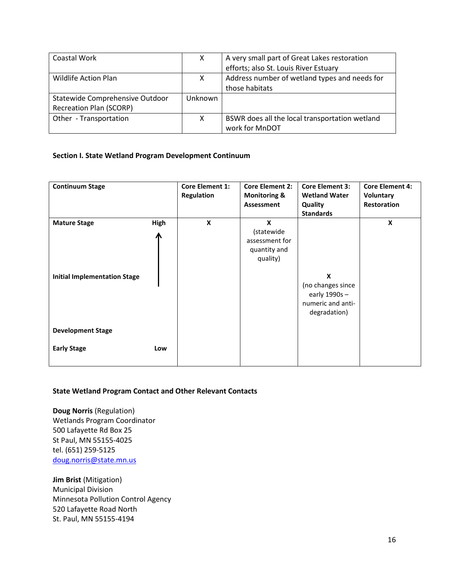| Coastal Work                    | X       | A very small part of Great Lakes restoration   |
|---------------------------------|---------|------------------------------------------------|
|                                 |         | efforts; also St. Louis River Estuary          |
| Wildlife Action Plan            | x       | Address number of wetland types and needs for  |
|                                 |         | those habitats                                 |
| Statewide Comprehensive Outdoor | Unknown |                                                |
| <b>Recreation Plan (SCORP)</b>  |         |                                                |
| Other - Transportation          | x       | BSWR does all the local transportation wetland |
|                                 |         | work for MnDOT                                 |

## **Section I. State Wetland Program Development Continuum**

| <b>Continuum Stage</b>                                     |           | <b>Core Element 1:</b><br><b>Regulation</b> | <b>Core Element 2:</b><br><b>Monitoring &amp;</b><br>Assessment | <b>Core Element 3:</b><br><b>Wetland Water</b><br><b>Quality</b><br><b>Standards</b> | <b>Core Element 4:</b><br>Voluntary<br><b>Restoration</b> |
|------------------------------------------------------------|-----------|---------------------------------------------|-----------------------------------------------------------------|--------------------------------------------------------------------------------------|-----------------------------------------------------------|
| <b>Mature Stage</b><br><b>Initial Implementation Stage</b> | High<br>Л | X                                           | X<br>(statewide<br>assessment for<br>quantity and<br>quality)   | X<br>(no changes since<br>early 1990s-<br>numeric and anti-<br>degradation)          | X                                                         |
| <b>Development Stage</b>                                   |           |                                             |                                                                 |                                                                                      |                                                           |
| <b>Early Stage</b>                                         | Low       |                                             |                                                                 |                                                                                      |                                                           |

## **State Wetland Program Contact and Other Relevant Contacts**

**Doug Norris** (Regulation) Wetlands Program Coordinator 500 Lafayette Rd Box 25 St Paul, MN 55155-4025 tel. (651) 259-5125 [doug.norris@state.mn.us](mailto:doug.norris@state.mn.us)

**Jim Brist** (Mitigation) Municipal Division Minnesota Pollution Control Agency 520 Lafayette Road North St. Paul, MN 55155-4194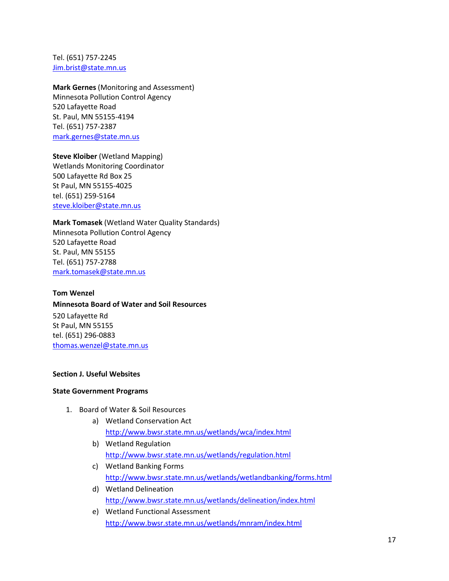Tel. (651) 757-2245 [Jim.brist@state.mn.us](mailto:Jim.brist@state.mn.us)

**Mark Gernes** (Monitoring and Assessment)

Minnesota Pollution Control Agency 520 Lafayette Road St. Paul, MN 55155-4194 Tel. (651) 757-2387 [mark.gernes@state.mn.us](mailto:mark.gernes@state.mn.us)

**Steve Kloiber** (Wetland Mapping) Wetlands Monitoring Coordinator 500 Lafayette Rd Box 25 St Paul, MN 55155-4025 tel. (651) 259-5164

[steve.kloiber@state.mn.us](mailto:steve.kloiber@state.mn.us)

**Mark Tomasek** (Wetland Water Quality Standards) Minnesota Pollution Control Agency 520 Lafayette Road St. Paul, MN 55155 Tel. (651) 757-2788 [mark.tomasek@state.mn.us](mailto:mark.tomasek@state.mn.us)

**Tom Wenzel Minnesota Board of Water and Soil Resources** 520 Lafayette Rd St Paul, MN 55155 tel. (651) 296-0883 [thomas.wenzel@state.mn.us](mailto:thomas.wenzel@state.mn.us)

## **Section J. Useful Websites**

## **State Government Programs**

- 1. Board of Water & Soil Resources
	- a) Wetland Conservation Act <http://www.bwsr.state.mn.us/wetlands/wca/index.html>
	- b) Wetland Regulation <http://www.bwsr.state.mn.us/wetlands/regulation.html>
	- c) Wetland Banking Forms <http://www.bwsr.state.mn.us/wetlands/wetlandbanking/forms.html>
	- d) Wetland Delineation <http://www.bwsr.state.mn.us/wetlands/delineation/index.html>
	- e) Wetland Functional Assessment <http://www.bwsr.state.mn.us/wetlands/mnram/index.html>